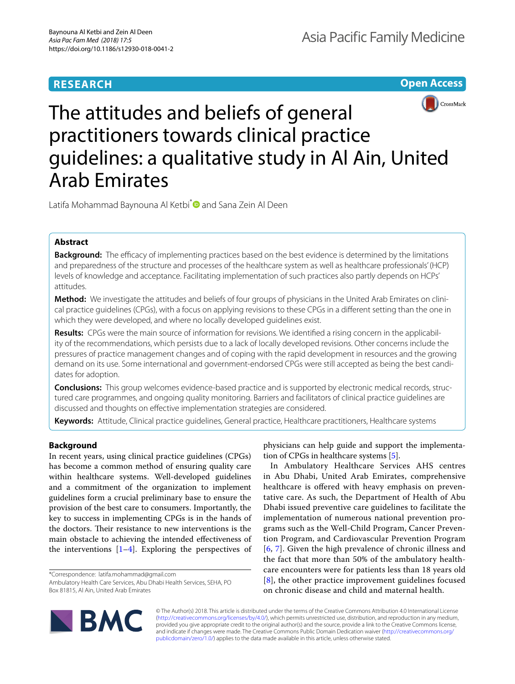# **RESEARCH**

**Open Access**



# The attitudes and beliefs of general practitioners towards clinical practice guidelines: a qualitative study in Al Ain, United Arab Emirates

Latifa Mohammad Baynouna Al Ketbi<sup>\*</sup> and Sana Zein Al Deen

# **Abstract**

**Background:** The efficacy of implementing practices based on the best evidence is determined by the limitations and preparedness of the structure and processes of the healthcare system as well as healthcare professionals' (HCP) levels of knowledge and acceptance. Facilitating implementation of such practices also partly depends on HCPs' attitudes.

**Method:** We investigate the attitudes and beliefs of four groups of physicians in the United Arab Emirates on clinical practice guidelines (CPGs), with a focus on applying revisions to these CPGs in a diferent setting than the one in which they were developed, and where no locally developed guidelines exist.

**Results:** CPGs were the main source of information for revisions. We identifed a rising concern in the applicability of the recommendations, which persists due to a lack of locally developed revisions. Other concerns include the pressures of practice management changes and of coping with the rapid development in resources and the growing demand on its use. Some international and government-endorsed CPGs were still accepted as being the best candidates for adoption.

**Conclusions:** This group welcomes evidence-based practice and is supported by electronic medical records, structured care programmes, and ongoing quality monitoring. Barriers and facilitators of clinical practice guidelines are discussed and thoughts on efective implementation strategies are considered.

**Keywords:** Attitude, Clinical practice guidelines, General practice, Healthcare practitioners, Healthcare systems

# **Background**

In recent years, using clinical practice guidelines (CPGs) has become a common method of ensuring quality care within healthcare systems. Well-developed guidelines and a commitment of the organization to implement guidelines form a crucial preliminary base to ensure the provision of the best care to consumers. Importantly, the key to success in implementing CPGs is in the hands of the doctors. Their resistance to new interventions is the main obstacle to achieving the intended efectiveness of the interventions  $[1-4]$  $[1-4]$ . Exploring the perspectives of

\*Correspondence: latifa.mohammad@gmail.com Ambulatory Health Care Services, Abu Dhabi Health Services, SEHA, PO Box 81815, Al Ain, United Arab Emirates

physicians can help guide and support the implementation of CPGs in healthcare systems [[5\]](#page-8-2).

In Ambulatory Healthcare Services AHS centres in Abu Dhabi, United Arab Emirates, comprehensive healthcare is offered with heavy emphasis on preventative care. As such, the Department of Health of Abu Dhabi issued preventive care guidelines to facilitate the implementation of numerous national prevention programs such as the Well-Child Program, Cancer Prevention Program, and Cardiovascular Prevention Program [[6](#page-8-3), [7\]](#page-8-4). Given the high prevalence of chronic illness and the fact that more than 50% of the ambulatory healthcare encounters were for patients less than 18 years old [[8](#page-8-5)], the other practice improvement guidelines focused on chronic disease and child and maternal health.



© The Author(s) 2018. This article is distributed under the terms of the Creative Commons Attribution 4.0 International License [\(http://creativecommons.org/licenses/by/4.0/\)](http://creativecommons.org/licenses/by/4.0/), which permits unrestricted use, distribution, and reproduction in any medium, provided you give appropriate credit to the original author(s) and the source, provide a link to the Creative Commons license, and indicate if changes were made. The Creative Commons Public Domain Dedication waiver ([http://creativecommons.org/](http://creativecommons.org/publicdomain/zero/1.0/) [publicdomain/zero/1.0/](http://creativecommons.org/publicdomain/zero/1.0/)) applies to the data made available in this article, unless otherwise stated.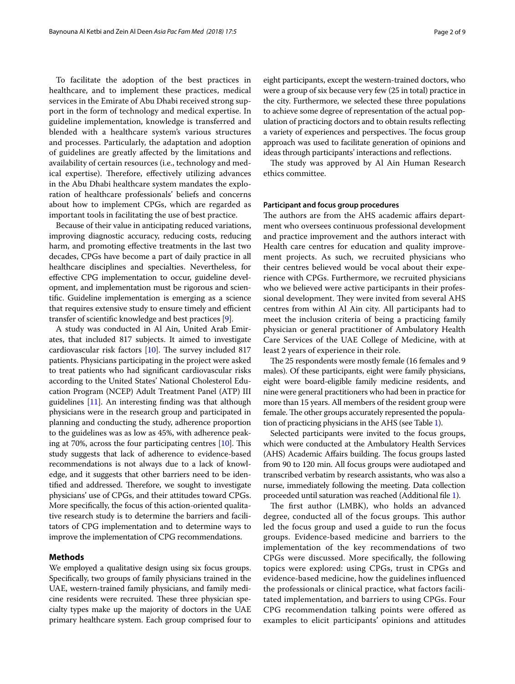To facilitate the adoption of the best practices in healthcare, and to implement these practices, medical services in the Emirate of Abu Dhabi received strong support in the form of technology and medical expertise. In guideline implementation, knowledge is transferred and blended with a healthcare system's various structures and processes. Particularly, the adaptation and adoption of guidelines are greatly afected by the limitations and availability of certain resources (i.e., technology and medical expertise). Therefore, effectively utilizing advances in the Abu Dhabi healthcare system mandates the exploration of healthcare professionals' beliefs and concerns about how to implement CPGs, which are regarded as important tools in facilitating the use of best practice.

Because of their value in anticipating reduced variations, improving diagnostic accuracy, reducing costs, reducing harm, and promoting effective treatments in the last two decades, CPGs have become a part of daily practice in all healthcare disciplines and specialties. Nevertheless, for efective CPG implementation to occur, guideline development, and implementation must be rigorous and scientifc. Guideline implementation is emerging as a science that requires extensive study to ensure timely and efficient transfer of scientifc knowledge and best practices [\[9\]](#page-8-6).

A study was conducted in Al Ain, United Arab Emirates, that included 817 subjects. It aimed to investigate cardiovascular risk factors  $[10]$  $[10]$  $[10]$ . The survey included 817 patients. Physicians participating in the project were asked to treat patients who had signifcant cardiovascular risks according to the United States' National Cholesterol Education Program (NCEP) Adult Treatment Panel (ATP) III guidelines [[11\]](#page-8-8). An interesting fnding was that although physicians were in the research group and participated in planning and conducting the study, adherence proportion to the guidelines was as low as 45%, with adherence peaking at 70%, across the four participating centres  $[10]$  $[10]$  $[10]$ . This study suggests that lack of adherence to evidence-based recommendations is not always due to a lack of knowledge, and it suggests that other barriers need to be identified and addressed. Therefore, we sought to investigate physicians' use of CPGs, and their attitudes toward CPGs. More specifcally, the focus of this action-oriented qualitative research study is to determine the barriers and facilitators of CPG implementation and to determine ways to improve the implementation of CPG recommendations.

# **Methods**

We employed a qualitative design using six focus groups. Specifcally, two groups of family physicians trained in the UAE, western-trained family physicians, and family medicine residents were recruited. These three physician specialty types make up the majority of doctors in the UAE primary healthcare system. Each group comprised four to eight participants, except the western-trained doctors, who were a group of six because very few (25 in total) practice in the city. Furthermore, we selected these three populations to achieve some degree of representation of the actual population of practicing doctors and to obtain results refecting a variety of experiences and perspectives. The focus group approach was used to facilitate generation of opinions and ideas through participants' interactions and refections.

The study was approved by Al Ain Human Research ethics committee.

#### **Participant and focus group procedures**

The authors are from the AHS academic affairs department who oversees continuous professional development and practice improvement and the authors interact with Health care centres for education and quality improvement projects. As such, we recruited physicians who their centres believed would be vocal about their experience with CPGs. Furthermore, we recruited physicians who we believed were active participants in their professional development. They were invited from several AHS centres from within Al Ain city. All participants had to meet the inclusion criteria of being a practicing family physician or general practitioner of Ambulatory Health Care Services of the UAE College of Medicine, with at least 2 years of experience in their role.

The 25 respondents were mostly female (16 females and 9 males). Of these participants, eight were family physicians, eight were board-eligible family medicine residents, and nine were general practitioners who had been in practice for more than 15 years. All members of the resident group were female. The other groups accurately represented the population of practicing physicians in the AHS (see Table [1](#page-2-0)).

Selected participants were invited to the focus groups, which were conducted at the Ambulatory Health Services (AHS) Academic Affairs building. The focus groups lasted from 90 to 120 min. All focus groups were audiotaped and transcribed verbatim by research assistants, who was also a nurse, immediately following the meeting. Data collection proceeded until saturation was reached (Additional fle [1\)](#page-7-0).

The first author (LMBK), who holds an advanced degree, conducted all of the focus groups. This author led the focus group and used a guide to run the focus groups. Evidence-based medicine and barriers to the implementation of the key recommendations of two CPGs were discussed. More specifcally, the following topics were explored: using CPGs, trust in CPGs and evidence-based medicine, how the guidelines infuenced the professionals or clinical practice, what factors facilitated implementation, and barriers to using CPGs. Four CPG recommendation talking points were ofered as examples to elicit participants' opinions and attitudes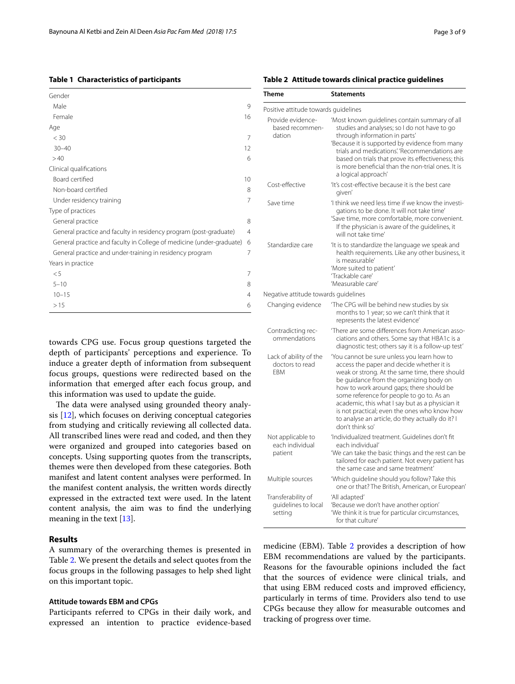# <span id="page-2-0"></span>**Table 1 Characteristics of participants**

| Gender                                                               |                |
|----------------------------------------------------------------------|----------------|
| Male                                                                 | 9              |
| Female                                                               | 16             |
| Age                                                                  |                |
| $<$ 30                                                               | 7              |
| $30 - 40$                                                            | 12             |
| >40                                                                  | 6              |
| Clinical qualifications                                              |                |
| Board certified                                                      | 10             |
|                                                                      |                |
| Non-board certified                                                  | 8              |
| Under residency training                                             | $\overline{7}$ |
| Type of practices                                                    |                |
| General practice                                                     | 8              |
| General practice and faculty in residency program (post-graduate)    | $\overline{4}$ |
| General practice and faculty in College of medicine (under-graduate) | 6              |
| General practice and under-training in residency program             | 7              |
| Years in practice                                                    |                |
| < 5                                                                  | 7              |
| $5 - 10$                                                             | 8              |
| $10 - 15$                                                            | 4              |
| >15                                                                  | 6              |
|                                                                      |                |

towards CPG use. Focus group questions targeted the depth of participants' perceptions and experience. To induce a greater depth of information from subsequent focus groups, questions were redirected based on the information that emerged after each focus group, and this information was used to update the guide.

The data were analysed using grounded theory analysis [\[12\]](#page-8-9), which focuses on deriving conceptual categories from studying and critically reviewing all collected data. All transcribed lines were read and coded, and then they were organized and grouped into categories based on concepts. Using supporting quotes from the transcripts, themes were then developed from these categories. Both manifest and latent content analyses were performed. In the manifest content analysis, the written words directly expressed in the extracted text were used. In the latent content analysis, the aim was to fnd the underlying meaning in the text [\[13](#page-8-10)].

# **Results**

A summary of the overarching themes is presented in Table [2](#page-2-1). We present the details and select quotes from the focus groups in the following passages to help shed light on this important topic.

#### **Attitude towards EBM and CPGs**

Participants referred to CPGs in their daily work, and expressed an intention to practice evidence-based

#### <span id="page-2-1"></span>**Table 2 Attitude towards clinical practice guidelines**

| Theme                                                   | Statements                                                                                                                                                                                                                                                                                                                                                                                                                                               |
|---------------------------------------------------------|----------------------------------------------------------------------------------------------------------------------------------------------------------------------------------------------------------------------------------------------------------------------------------------------------------------------------------------------------------------------------------------------------------------------------------------------------------|
| Positive attitude towards quidelines                    |                                                                                                                                                                                                                                                                                                                                                                                                                                                          |
| Provide evidence-<br>based recommen-<br>dation          | 'Most known guidelines contain summary of all<br>studies and analyses; so I do not have to go<br>through information in parts'<br>'Because it is supported by evidence from many<br>trials and medications'. 'Recommendations are<br>based on trials that prove its effectiveness; this<br>is more beneficial than the non-trial ones. It is<br>a logical approach'                                                                                      |
| Cost-effective                                          | 'It's cost-effective because it is the best care<br>given'                                                                                                                                                                                                                                                                                                                                                                                               |
| Save time                                               | 'I think we need less time if we know the investi-<br>gations to be done. It will not take time'<br>'Save time, more comfortable, more convenient.<br>If the physician is aware of the quidelines, it<br>will not take time'                                                                                                                                                                                                                             |
| Standardize care                                        | 'It is to standardize the language we speak and<br>health requirements. Like any other business, it<br>is measurable'<br>'More suited to patient'<br>'Trackable care'<br>'Measurable care'                                                                                                                                                                                                                                                               |
| Negative attitude towards quidelines                    |                                                                                                                                                                                                                                                                                                                                                                                                                                                          |
| Changing evidence                                       | 'The CPG will be behind new studies by six<br>months to 1 year; so we can't think that it<br>represents the latest evidence'                                                                                                                                                                                                                                                                                                                             |
| Contradicting rec-<br>ommendations                      | 'There are some differences from American asso-<br>ciations and others. Some say that HBA1c is a<br>diagnostic test; others say it is a follow-up test'                                                                                                                                                                                                                                                                                                  |
| Lack of ability of the<br>doctors to read<br><b>FRM</b> | 'You cannot be sure unless you learn how to<br>access the paper and decide whether it is<br>weak or strong. At the same time, there should<br>be guidance from the organizing body on<br>how to work around gaps; there should be<br>some reference for people to go to. As an<br>academic, this what I say but as a physician it<br>is not practical; even the ones who know how<br>to analyse an article, do they actually do it? I<br>don't think so' |
| Not applicable to<br>each individual<br>patient         | 'Individualized treatment. Guidelines don't fit<br>each individual'<br>'We can take the basic things and the rest can be<br>tailored for each patient. Not every patient has<br>the same case and same treatment'                                                                                                                                                                                                                                        |
| Multiple sources                                        | 'Which guideline should you follow? Take this<br>one or that? The British, American, or European'                                                                                                                                                                                                                                                                                                                                                        |
| Transferability of<br>guidelines to local<br>setting    | 'All adapted'<br>'Because we don't have another option'<br>'We think it is true for particular circumstances,<br>for that culture'                                                                                                                                                                                                                                                                                                                       |

medicine (EBM). Table [2](#page-2-1) provides a description of how EBM recommendations are valued by the participants. Reasons for the favourable opinions included the fact that the sources of evidence were clinical trials, and that using EBM reduced costs and improved efficiency, particularly in terms of time. Providers also tend to use CPGs because they allow for measurable outcomes and tracking of progress over time.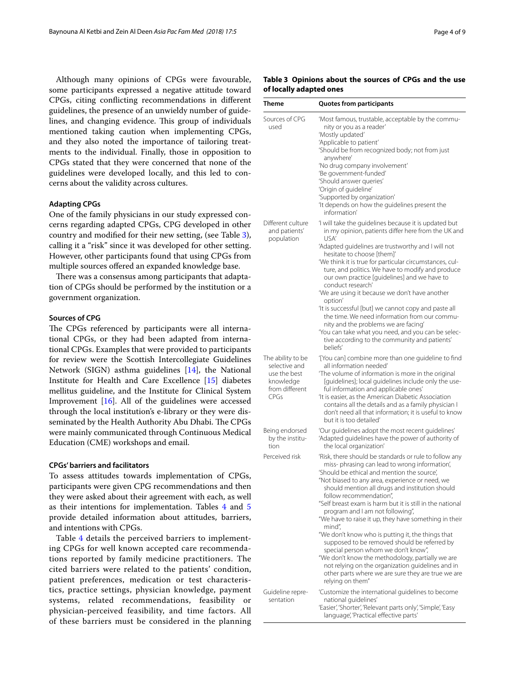Although many opinions of CPGs were favourable, some participants expressed a negative attitude toward CPGs, citing conficting recommendations in diferent guidelines, the presence of an unwieldy number of guidelines, and changing evidence. This group of individuals mentioned taking caution when implementing CPGs, and they also noted the importance of tailoring treatments to the individual. Finally, those in opposition to CPGs stated that they were concerned that none of the guidelines were developed locally, and this led to concerns about the validity across cultures.

#### **Adapting CPGs**

One of the family physicians in our study expressed concerns regarding adapted CPGs, CPG developed in other country and modifed for their new setting, (see Table [3](#page-3-0)), calling it a "risk" since it was developed for other setting. However, other participants found that using CPGs from multiple sources ofered an expanded knowledge base.

There was a consensus among participants that adaptation of CPGs should be performed by the institution or a government organization.

#### **Sources of CPG**

The CPGs referenced by participants were all international CPGs, or they had been adapted from international CPGs. Examples that were provided to participants for review were the Scottish Intercollegiate Guidelines Network (SIGN) asthma guidelines [[14\]](#page-8-11), the National Institute for Health and Care Excellence [\[15](#page-8-12)] diabetes mellitus guideline, and the Institute for Clinical System Improvement [\[16\]](#page-8-13). All of the guidelines were accessed through the local institution's e-library or they were disseminated by the Health Authority Abu Dhabi. The CPGs were mainly communicated through Continuous Medical Education (CME) workshops and email.

#### **CPGs' barriers and facilitators**

To assess attitudes towards implementation of CPGs, participants were given CPG recommendations and then they were asked about their agreement with each, as well as their intentions for implementation. Tables [4](#page-4-0) and [5](#page-5-0) provide detailed information about attitudes, barriers, and intentions with CPGs.

Table [4](#page-4-0) details the perceived barriers to implementing CPGs for well known accepted care recommendations reported by family medicine practitioners. The cited barriers were related to the patients' condition, patient preferences, medication or test characteristics, practice settings, physician knowledge, payment systems, related recommendations, feasibility or physician-perceived feasibility, and time factors. All of these barriers must be considered in the planning

#### <span id="page-3-0"></span>**Table 3 Opinions about the sources of CPGs and the use of locally adapted ones**

| Theme                                                                                     | <b>Quotes from participants</b>                                                                                                                                                                                                                                                                                                                                                                                                                                                                                                                                                                                                                                                                                                                                                            |
|-------------------------------------------------------------------------------------------|--------------------------------------------------------------------------------------------------------------------------------------------------------------------------------------------------------------------------------------------------------------------------------------------------------------------------------------------------------------------------------------------------------------------------------------------------------------------------------------------------------------------------------------------------------------------------------------------------------------------------------------------------------------------------------------------------------------------------------------------------------------------------------------------|
| Sources of CPG<br>used                                                                    | 'Most famous, trustable, acceptable by the commu-<br>nity or you as a reader'<br>'Mostly updated'<br>'Applicable to patient'<br>'Should be from recognized body; not from just<br>anywhere'<br>'No drug company involvement'<br>'Be government-funded'<br>'Should answer queries'<br>'Origin of guideline'<br>'Supported by organization'<br>'It depends on how the guidelines present the<br>information'                                                                                                                                                                                                                                                                                                                                                                                 |
| Different culture<br>and patients'<br>population                                          | 'I will take the quidelines because it is updated but<br>in my opinion, patients differ here from the UK and<br>USA'<br>'Adapted guidelines are trustworthy and I will not<br>hesitate to choose [them]'<br>'We think it is true for particular circumstances, cul-<br>ture, and politics. We have to modify and produce<br>our own practice [guidelines] and we have to<br>conduct research'<br>'We are using it because we don't have another<br>option'<br>'It is successful [but] we cannot copy and paste all<br>the time. We need information from our commu-<br>nity and the problems we are facing'<br>'You can take what you need, and you can be selec-<br>tive according to the community and patients'<br>beliefs'                                                             |
| The ability to be<br>selective and<br>use the best<br>knowledge<br>from different<br>CPGs | '[You can] combine more than one guideline to find<br>all information needed'<br>'The volume of information is more in the original<br>[guidelines]; local guidelines include only the use-<br>ful information and applicable ones'<br>'It is easier, as the American Diabetic Association<br>contains all the details and as a family physician I<br>don't need all that information; it is useful to know<br>but it is too detailed'                                                                                                                                                                                                                                                                                                                                                     |
| Being endorsed<br>by the institu-<br>tion                                                 | 'Our guidelines adopt the most recent guidelines'<br>'Adapted guidelines have the power of authority of<br>the local organization'                                                                                                                                                                                                                                                                                                                                                                                                                                                                                                                                                                                                                                                         |
| Perceived risk                                                                            | 'Risk, there should be standards or rule to follow any<br>miss-phrasing can lead to wrong information',<br>'Should be ethical and mention the source',<br>"Not biased to any area, experience or need, we<br>should mention all drugs and institution should<br>follow recommendation",<br>"Self breast exam is harm but it is still in the national<br>program and I am not following",<br>"We have to raise it up, they have something in their<br>mind",<br>"We don't know who is putting it, the things that<br>supposed to be removed should be referred by<br>special person whom we don't know",<br>"We don't know the methodology, partially we are<br>not relying on the organization guidelines and in<br>other parts where we are sure they are true we are<br>relying on them" |
| Guideline repre-<br>sentation                                                             | 'Customize the international guidelines to become<br>national guidelines'<br>'Easier', 'Shorter', 'Relevant parts only', 'Simple', 'Easy<br>language', 'Practical effective parts'                                                                                                                                                                                                                                                                                                                                                                                                                                                                                                                                                                                                         |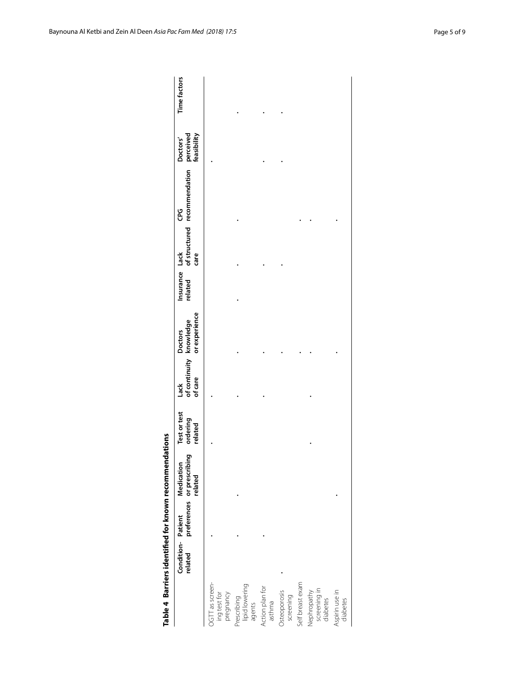<span id="page-4-0"></span>

|                                         |                              |                          | Table 4 Barriers identified for known recommendations |                                            |                                            |                          |                           |                                                      |          |                     |
|-----------------------------------------|------------------------------|--------------------------|-------------------------------------------------------|--------------------------------------------|--------------------------------------------|--------------------------|---------------------------|------------------------------------------------------|----------|---------------------|
|                                         | Condition-Patient<br>related | preferences or prescribi | gu<br>Medication<br>related                           | <b>Test or test</b><br>ordering<br>related | of continuity knowledge<br>of care<br>Lack | or experience<br>Doctors | Insurance Lack<br>related | of structured recommendation perceived<br>care<br>9G | Doctors' | <b>Time factors</b> |
| OGTT as screen-                         |                              |                          |                                                       |                                            |                                            |                          |                           |                                                      |          |                     |
| ing test for<br>pregnancy               |                              |                          |                                                       |                                            |                                            |                          |                           |                                                      |          |                     |
| Prescribing<br>lipid lowering<br>agents |                              |                          |                                                       |                                            |                                            |                          |                           |                                                      |          |                     |
| Action plan for<br>asthma               |                              |                          |                                                       |                                            |                                            |                          |                           |                                                      |          |                     |
| Osteoporosis<br>screening               |                              |                          |                                                       |                                            |                                            |                          |                           |                                                      |          |                     |
| Self breast exam                        |                              |                          |                                                       |                                            |                                            |                          |                           |                                                      |          |                     |
| screening in<br>Vephropathy<br>diabetes |                              |                          |                                                       |                                            |                                            |                          |                           |                                                      |          |                     |
| Aspirin use in<br>diabetes              |                              |                          |                                                       |                                            |                                            |                          |                           |                                                      |          |                     |
|                                         |                              |                          |                                                       |                                            |                                            |                          |                           |                                                      |          |                     |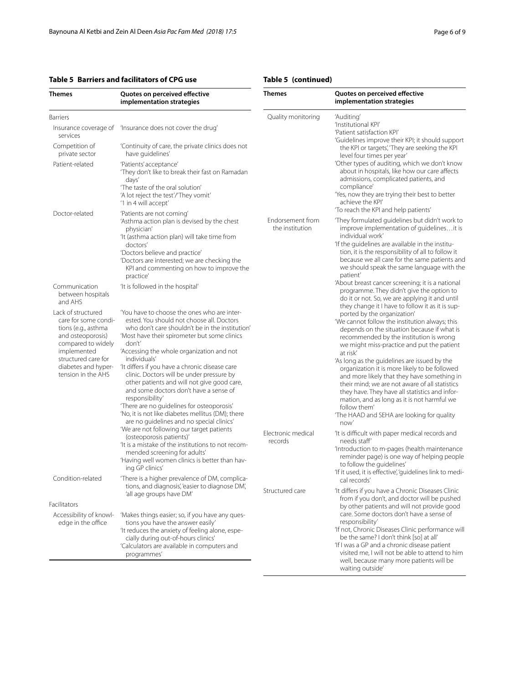# <span id="page-5-0"></span>**Table 5 Barriers and facilitators of CPG use**

**Themes** 

Barriers

| Themes                                                                                                                                                                                          | Quotes on perceived effective<br>implementation strategies                                                                                                                                                                                                                                                                                                                                                                                                                                                                                                                                                                                                                                             | <b>Themes</b>                       |
|-------------------------------------------------------------------------------------------------------------------------------------------------------------------------------------------------|--------------------------------------------------------------------------------------------------------------------------------------------------------------------------------------------------------------------------------------------------------------------------------------------------------------------------------------------------------------------------------------------------------------------------------------------------------------------------------------------------------------------------------------------------------------------------------------------------------------------------------------------------------------------------------------------------------|-------------------------------------|
| Barriers                                                                                                                                                                                        |                                                                                                                                                                                                                                                                                                                                                                                                                                                                                                                                                                                                                                                                                                        | Quality monitoring                  |
| Insurance coverage of<br>services                                                                                                                                                               | 'Insurance does not cover the drug'                                                                                                                                                                                                                                                                                                                                                                                                                                                                                                                                                                                                                                                                    |                                     |
| Competition of<br>private sector                                                                                                                                                                | 'Continuity of care, the private clinics does not<br>have quidelines'                                                                                                                                                                                                                                                                                                                                                                                                                                                                                                                                                                                                                                  |                                     |
| Patient-related                                                                                                                                                                                 | 'Patients' acceptance'<br>'They don't like to break their fast on Ramadan<br>days'<br>'The taste of the oral solution'<br>'A lot reject the test'/'They vomit'<br>'1 in 4 will accept'                                                                                                                                                                                                                                                                                                                                                                                                                                                                                                                 |                                     |
| Doctor-related                                                                                                                                                                                  | 'Patients are not coming'<br>'Asthma action plan is devised by the chest<br>physician'<br>'It (asthma action plan) will take time from<br>doctors'<br>'Doctors believe and practice'<br>'Doctors are interested; we are checking the<br>KPI and commenting on how to improve the<br>practice'                                                                                                                                                                                                                                                                                                                                                                                                          | Endorsement from<br>the institution |
| Communication<br>between hospitals<br>and AHS                                                                                                                                                   | 'It is followed in the hospital'                                                                                                                                                                                                                                                                                                                                                                                                                                                                                                                                                                                                                                                                       |                                     |
| Lack of structured<br>care for some condi-<br>tions (e.g., asthma<br>and osteoporosis)<br>compared to widely<br>implemented<br>structured care for<br>diabetes and hyper-<br>tension in the AHS | 'You have to choose the ones who are inter-<br>ested. You should not choose all. Doctors<br>who don't care shouldn't be in the institution'<br>'Most have their spirometer but some clinics<br>don't'<br>'Accessing the whole organization and not<br>individuals'<br>'It differs if you have a chronic disease care<br>clinic. Doctors will be under pressure by<br>other patients and will not give good care,<br>and some doctors don't have a sense of<br>responsibility'<br>'There are no guidelines for osteoporosis'<br>'No, it is not like diabetes mellitus (DM); there<br>are no guidelines and no special clinics'<br>'We are not following our target patients<br>(osteoporosis patients)' | Electronic medical<br>records       |

# 'It is a mistake of the institutions to not recommended screening for adults' 'Having well women clinics is better than having GP clinics'

Condition-related 'There is a higher prevalence of DM, complications, and diagnosis', 'easier to diagnose DM', 'all age groups have DM' Facilitators Accessibility of knowl-'Makes things easier; so, if you have any quesedge in the office tions you have the answer easily' 'It reduces the anxiety of feeling alone, especially during out-of-hours clinics' 'Calculators are available in computers and programmes' responsibility'

#### **Table 5 (continued)**

| Themes                              | Quotes on perceived effective<br>implementation strategies                                                                                                                                                                                                                                                                                                                                                                                                                                                                                                                                                                                                                                                                                                                                                                                                                                                                                                                                                                                                                                                                                                |
|-------------------------------------|-----------------------------------------------------------------------------------------------------------------------------------------------------------------------------------------------------------------------------------------------------------------------------------------------------------------------------------------------------------------------------------------------------------------------------------------------------------------------------------------------------------------------------------------------------------------------------------------------------------------------------------------------------------------------------------------------------------------------------------------------------------------------------------------------------------------------------------------------------------------------------------------------------------------------------------------------------------------------------------------------------------------------------------------------------------------------------------------------------------------------------------------------------------|
| Quality monitoring                  | 'Auditing'<br>'Institutional KPI'<br>'Patient satisfaction KPI'<br>'Guidelines improve their KPI; it should support<br>the KPI or targets', 'They are seeking the KPI<br>level four times per year'<br>'Other types of auditing, which we don't know<br>about in hospitals, like how our care affects<br>admissions, complicated patients, and<br>compliance'<br>'Yes, now they are trying their best to better<br>achieve the KPI'<br>'To reach the KPI and help patients'                                                                                                                                                                                                                                                                                                                                                                                                                                                                                                                                                                                                                                                                               |
| Endorsement from<br>the institution | 'They formulated guidelines but didn't work to<br>improve implementation of guidelinesit is<br>individual work'<br>'If the guidelines are available in the institu-<br>tion, it is the responsibility of all to follow it<br>because we all care for the same patients and<br>we should speak the same language with the<br>patient'<br>'About breast cancer screening; it is a national<br>programme. They didn't give the option to<br>do it or not. So, we are applying it and until<br>they change it I have to follow it as it is sup-<br>ported by the organization'<br>'We cannot follow the institution always; this<br>depends on the situation because if what is<br>recommended by the institution is wrong<br>we might miss-practice and put the patient<br>at risk'<br>'As long as the guidelines are issued by the<br>organization it is more likely to be followed<br>and more likely that they have something in<br>their mind; we are not aware of all statistics<br>they have. They have all statistics and infor-<br>mation, and as long as it is not harmful we<br>follow them'<br>'The HAAD and SEHA are looking for quality<br>now' |
| Electronic medical<br>records       | 'It is difficult with paper medical records and<br>needs staff'<br>'Introduction to m-pages (health maintenance<br>reminder page) is one way of helping people<br>to follow the quidelines'<br>'If it used, it is effective', 'guidelines link to medi-<br>cal records                                                                                                                                                                                                                                                                                                                                                                                                                                                                                                                                                                                                                                                                                                                                                                                                                                                                                    |
| Structured care                     | 'It differs if you have a Chronic Diseases Clinic<br>from if you don't, and doctor will be pushed<br>by other patients and will not provide good<br>care. Some doctors don't have a sense of<br>responsibility'<br>'If not, Chronic Diseases Clinic performance will<br>be the same? I don't think [so] at all'<br>'If I was a GP and a chronic disease patient<br>visited me, I will not be able to attend to him<br>well, because many more patients will be<br>waiting outside'                                                                                                                                                                                                                                                                                                                                                                                                                                                                                                                                                                                                                                                                        |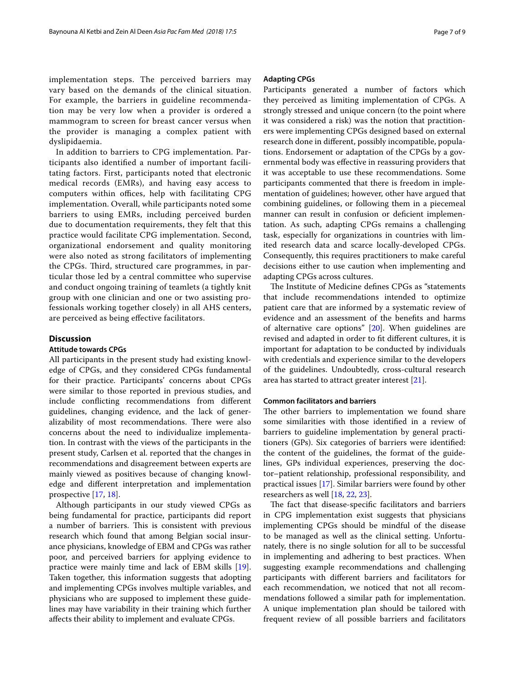implementation steps. The perceived barriers may vary based on the demands of the clinical situation. For example, the barriers in guideline recommendation may be very low when a provider is ordered a mammogram to screen for breast cancer versus when the provider is managing a complex patient with dyslipidaemia.

In addition to barriers to CPG implementation. Participants also identifed a number of important facilitating factors. First, participants noted that electronic medical records (EMRs), and having easy access to computers within offices, help with facilitating CPG implementation. Overall, while participants noted some barriers to using EMRs, including perceived burden due to documentation requirements, they felt that this practice would facilitate CPG implementation. Second, organizational endorsement and quality monitoring were also noted as strong facilitators of implementing the CPGs. Third, structured care programmes, in particular those led by a central committee who supervise and conduct ongoing training of teamlets (a tightly knit group with one clinician and one or two assisting professionals working together closely) in all AHS centers, are perceived as being efective facilitators.

#### **Discussion**

# **Attitude towards CPGs**

All participants in the present study had existing knowledge of CPGs, and they considered CPGs fundamental for their practice. Participants' concerns about CPGs were similar to those reported in previous studies, and include conficting recommendations from diferent guidelines, changing evidence, and the lack of generalizability of most recommendations. There were also concerns about the need to individualize implementation. In contrast with the views of the participants in the present study, Carlsen et al. reported that the changes in recommendations and disagreement between experts are mainly viewed as positives because of changing knowledge and diferent interpretation and implementation prospective [[17](#page-8-14), [18\]](#page-8-15).

Although participants in our study viewed CPGs as being fundamental for practice, participants did report a number of barriers. This is consistent with previous research which found that among Belgian social insurance physicians, knowledge of EBM and CPGs was rather poor, and perceived barriers for applying evidence to practice were mainly time and lack of EBM skills [\[19](#page-8-16)]. Taken together, this information suggests that adopting and implementing CPGs involves multiple variables, and physicians who are supposed to implement these guidelines may have variability in their training which further afects their ability to implement and evaluate CPGs.

#### **Adapting CPGs**

Participants generated a number of factors which they perceived as limiting implementation of CPGs. A strongly stressed and unique concern (to the point where it was considered a risk) was the notion that practitioners were implementing CPGs designed based on external research done in diferent, possibly incompatible, populations. Endorsement or adaptation of the CPGs by a governmental body was efective in reassuring providers that it was acceptable to use these recommendations. Some participants commented that there is freedom in implementation of guidelines; however, other have argued that combining guidelines, or following them in a piecemeal manner can result in confusion or defcient implementation. As such, adapting CPGs remains a challenging task, especially for organizations in countries with limited research data and scarce locally-developed CPGs. Consequently, this requires practitioners to make careful decisions either to use caution when implementing and adapting CPGs across cultures.

The Institute of Medicine defines CPGs as "statements that include recommendations intended to optimize patient care that are informed by a systematic review of evidence and an assessment of the benefts and harms of alternative care options" [[20\]](#page-8-17). When guidelines are revised and adapted in order to ft diferent cultures, it is important for adaptation to be conducted by individuals with credentials and experience similar to the developers of the guidelines. Undoubtedly, cross-cultural research area has started to attract greater interest [\[21](#page-8-18)].

## **Common facilitators and barriers**

The other barriers to implementation we found share some similarities with those identifed in a review of barriers to guideline implementation by general practitioners (GPs). Six categories of barriers were identifed: the content of the guidelines, the format of the guidelines, GPs individual experiences, preserving the doctor–patient relationship, professional responsibility, and practical issues [\[17\]](#page-8-14). Similar barriers were found by other researchers as well [\[18](#page-8-15), [22](#page-8-19), [23\]](#page-8-20).

The fact that disease-specific facilitators and barriers in CPG implementation exist suggests that physicians implementing CPGs should be mindful of the disease to be managed as well as the clinical setting. Unfortunately, there is no single solution for all to be successful in implementing and adhering to best practices. When suggesting example recommendations and challenging participants with diferent barriers and facilitators for each recommendation, we noticed that not all recommendations followed a similar path for implementation. A unique implementation plan should be tailored with frequent review of all possible barriers and facilitators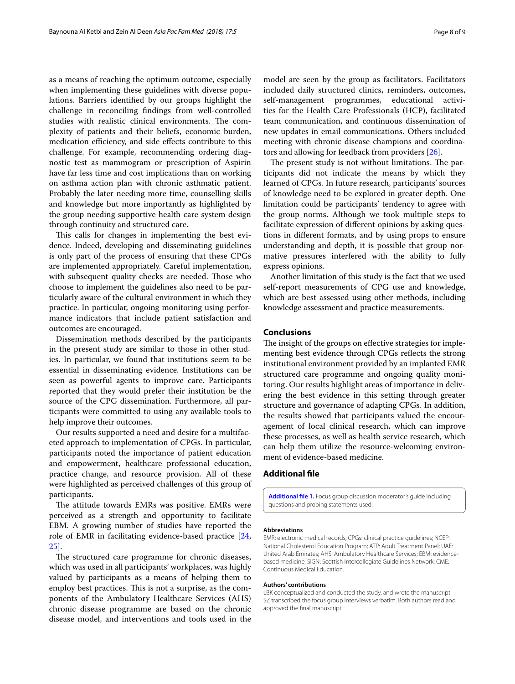as a means of reaching the optimum outcome, especially when implementing these guidelines with diverse populations. Barriers identifed by our groups highlight the challenge in reconciling fndings from well-controlled studies with realistic clinical environments. The complexity of patients and their beliefs, economic burden, medication efficiency, and side effects contribute to this challenge. For example, recommending ordering diagnostic test as mammogram or prescription of Aspirin have far less time and cost implications than on working on asthma action plan with chronic asthmatic patient. Probably the later needing more time, counselling skills and knowledge but more importantly as highlighted by the group needing supportive health care system design through continuity and structured care.

This calls for changes in implementing the best evidence. Indeed, developing and disseminating guidelines is only part of the process of ensuring that these CPGs are implemented appropriately. Careful implementation, with subsequent quality checks are needed. Those who choose to implement the guidelines also need to be particularly aware of the cultural environment in which they practice. In particular, ongoing monitoring using performance indicators that include patient satisfaction and outcomes are encouraged.

Dissemination methods described by the participants in the present study are similar to those in other studies. In particular, we found that institutions seem to be essential in disseminating evidence. Institutions can be seen as powerful agents to improve care. Participants reported that they would prefer their institution be the source of the CPG dissemination. Furthermore, all participants were committed to using any available tools to help improve their outcomes.

Our results supported a need and desire for a multifaceted approach to implementation of CPGs. In particular, participants noted the importance of patient education and empowerment, healthcare professional education, practice change, and resource provision. All of these were highlighted as perceived challenges of this group of participants.

The attitude towards EMRs was positive. EMRs were perceived as a strength and opportunity to facilitate EBM. A growing number of studies have reported the role of EMR in facilitating evidence-based practice [\[24](#page-8-21), [25\]](#page-8-22).

The structured care programme for chronic diseases, which was used in all participants' workplaces, was highly valued by participants as a means of helping them to employ best practices. This is not a surprise, as the components of the Ambulatory Healthcare Services (AHS) chronic disease programme are based on the chronic disease model, and interventions and tools used in the model are seen by the group as facilitators. Facilitators included daily structured clinics, reminders, outcomes, self-management programmes, educational activities for the Health Care Professionals (HCP), facilitated team communication, and continuous dissemination of new updates in email communications. Others included meeting with chronic disease champions and coordinators and allowing for feedback from providers [[26](#page-8-23)].

The present study is not without limitations. The participants did not indicate the means by which they learned of CPGs. In future research, participants' sources of knowledge need to be explored in greater depth. One limitation could be participants' tendency to agree with the group norms. Although we took multiple steps to facilitate expression of diferent opinions by asking questions in diferent formats, and by using props to ensure understanding and depth, it is possible that group normative pressures interfered with the ability to fully express opinions.

Another limitation of this study is the fact that we used self-report measurements of CPG use and knowledge, which are best assessed using other methods, including knowledge assessment and practice measurements.

#### **Conclusions**

The insight of the groups on effective strategies for implementing best evidence through CPGs refects the strong institutional environment provided by an implanted EMR structured care programme and ongoing quality monitoring. Our results highlight areas of importance in delivering the best evidence in this setting through greater structure and governance of adapting CPGs. In addition, the results showed that participants valued the encouragement of local clinical research, which can improve these processes, as well as health service research, which can help them utilize the resource-welcoming environment of evidence-based medicine.

# **Additional fle**

<span id="page-7-0"></span>**[Additional fle 1.](https://doi.org/10.1186/s12930-018-0041-2)** Focus group discussion moderator's guide including questions and probing statements used.

#### **Abbreviations**

EMR: electronic medical records; CPGs: clinical practice guidelines; NCEP: National Cholesterol Education Program; ATP: Adult Treatment Panel; UAE: United Arab Emirates; AHS: Ambulatory Healthcare Services; EBM: evidencebased medicine; SIGN: Scottish Intercollegiate Guidelines Network; CME: Continuous Medical Education.

#### **Authors' contributions**

LBK conceptualized and conducted the study, and wrote the manuscript. SZ transcribed the focus group interviews verbatim. Both authors read and approved the fnal manuscript.